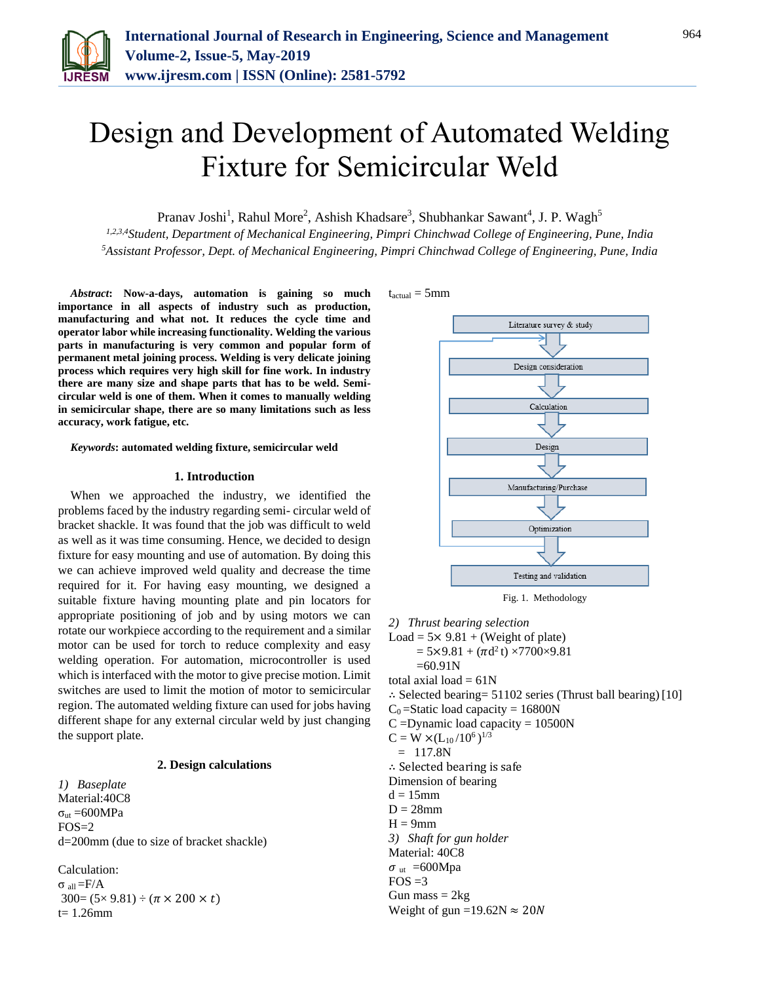

# Design and Development of Automated Welding Fixture for Semicircular Weld

Pranav Joshi<sup>1</sup>, Rahul More<sup>2</sup>, Ashish Khadsare<sup>3</sup>, Shubhankar Sawant<sup>4</sup>, J. P. Wagh<sup>5</sup>

*1,2,3,4Student, Department of Mechanical Engineering, Pimpri Chinchwad College of Engineering, Pune, India <sup>5</sup>Assistant Professor, Dept. of Mechanical Engineering, Pimpri Chinchwad College of Engineering, Pune, India*

*Abstract***: Now-a-days, automation is gaining so much importance in all aspects of industry such as production, manufacturing and what not. It reduces the cycle time and operator labor while increasing functionality. Welding the various parts in manufacturing is very common and popular form of permanent metal joining process. Welding is very delicate joining process which requires very high skill for fine work. In industry there are many size and shape parts that has to be weld. Semicircular weld is one of them. When it comes to manually welding in semicircular shape, there are so many limitations such as less accuracy, work fatigue, etc.**

#### *Keywords***: automated welding fixture, semicircular weld**

#### **1. Introduction**

When we approached the industry, we identified the problems faced by the industry regarding semi- circular weld of bracket shackle. It was found that the job was difficult to weld as well as it was time consuming. Hence, we decided to design fixture for easy mounting and use of automation. By doing this we can achieve improved weld quality and decrease the time required for it. For having easy mounting, we designed a suitable fixture having mounting plate and pin locators for appropriate positioning of job and by using motors we can rotate our workpiece according to the requirement and a similar motor can be used for torch to reduce complexity and easy welding operation. For automation, microcontroller is used which is interfaced with the motor to give precise motion. Limit switches are used to limit the motion of motor to semicircular region. The automated welding fixture can used for jobs having different shape for any external circular weld by just changing the support plate.

## **2. Design calculations**

*1) Baseplate* Material:40C8  $σ<sub>ut</sub> = 600MPa$ FOS=2 d=200mm (due to size of bracket shackle)

Calculation: σ all =F/A  $300=(5\times 9.81) \div (\pi \times 200 \times t)$  $t= 1.26$ mm

 $t_{actual} = 5mm$ 



Fig. 1. Methodology

*2) Thrust bearing selection*

Load =  $5 \times 9.81$  + (Weight of plate)

 $= 5 \times 9.81 + (\pi d^2 t) \times 7700 \times 9.81$ 

 $=60.91N$ 

total axial load  $= 61N$ 

∴ Selected bearing=  $51102$  series (Thrust ball bearing)[10]

 $C_0$ =Static load capacity = 16800N

 $C =$ Dynamic load capacity = 10500N

 $C = W \times (L_{10}/10^6)^{1/3}$  $= 117.8N$ ∴ Selected bearing is safe Dimension of bearing  $d = 15$ mm  $D = 28$ mm  $H = 9$ mm *3) Shaft for gun holder*  Material: 40C8  $\sigma$ <sub>ut</sub> =600Mpa  $FOS = 3$ 

Gun mass  $= 2kg$ Weight of gun =19.62N  $\approx$  20N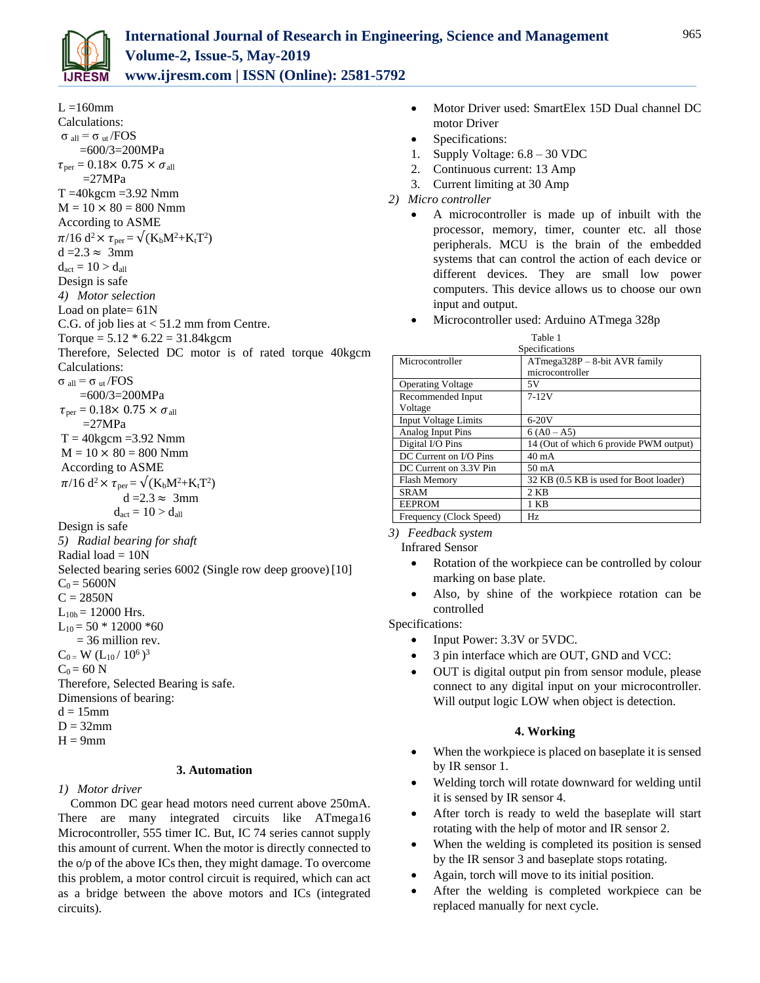

 $L = 160$ mm Calculations: σ all = σ ut /FOS =600/3=200MPa  $\tau_{\text{per}} = 0.18 \times 0.75 \times \sigma_{\text{all}}$  $=27MPa$  $T = 40$ kgcm  $= 3.92$  Nmm  $M = 10 \times 80 = 800$  Nmm According to ASME  $\pi/16 \text{ d}^2 \times \tau_{\text{per}} = \sqrt{(\text{K}_b M^2 + \text{K}_t T^2)}$  $d = 2.3 \approx 3$ mm  $d_{act} = 10 > d_{all}$ Design is safe *4) Motor selection* Load on plate= 61N C.G. of job lies at < 51.2 mm from Centre. Torque =  $5.12 * 6.22 = 31.84$ kgcm Therefore, Selected DC motor is of rated torque 40kgcm Calculations: σ all = σ ut /FOS =600/3=200MPa  $\tau_{\text{per}} = 0.18 \times 0.75 \times \sigma_{\text{all}}$  $=27MPa$  $T = 40$ kgcm = 3.92 Nmm  $M = 10 \times 80 = 800$  Nmm According to ASME  $\pi/16$  d<sup>2</sup>  $\times \tau_{\rm per} = \sqrt{(K_bM^2 + K_tT^2)}$  $d = 2.3 \approx 3$ mm  $d_{act} = 10 > d_{all}$ Design is safe *5) Radial bearing for shaft* Radial load  $= 10N$ Selected bearing series 6002 (Single row deep groove) [10]  $C_0 = 5600N$  $C = 2850N$  $L_{10h}$  = 12000 Hrs.  $L_{10} = 50 * 12000 * 60$  = 36 million rev.  $C_0 = W (L_{10}/10^6)^3$  $C_0 = 60 N$ Therefore, Selected Bearing is safe. Dimensions of bearing:  $d = 15$ mm  $D = 32$ mm  $H = 9$ mm

# **3. Automation**

#### *1) Motor driver*

Common DC gear head motors need current above 250mA. There are many integrated circuits like ATmega16 Microcontroller, 555 timer IC. But, IC 74 series cannot supply this amount of current. When the motor is directly connected to the o/p of the above ICs then, they might damage. To overcome this problem, a motor control circuit is required, which can act as a bridge between the above motors and ICs (integrated circuits).

- Motor Driver used: SmartElex 15D Dual channel DC motor Driver
- Specifications:
- 1. Supply Voltage: 6.8 30 VDC
- 2. Continuous current: 13 Amp
- 3. Current limiting at 30 Amp
- *2) Micro controller*
	- A microcontroller is made up of inbuilt with the processor, memory, timer, counter etc. all those peripherals. MCU is the brain of the embedded systems that can control the action of each device or different devices. They are small low power computers. This device allows us to choose our own input and output.
	- Microcontroller used: Arduino ATmega 328p

| ٧<br>v<br>٠ |  |
|-------------|--|
|-------------|--|

| Specifications              |                                        |  |  |  |
|-----------------------------|----------------------------------------|--|--|--|
| Microcontroller             | $ATmega328P - 8-bit AVR family$        |  |  |  |
|                             | microcontroller                        |  |  |  |
| <b>Operating Voltage</b>    | 5V                                     |  |  |  |
| Recommended Input           | $7 - 12V$                              |  |  |  |
| Voltage                     |                                        |  |  |  |
| <b>Input Voltage Limits</b> | $6-20V$                                |  |  |  |
| <b>Analog Input Pins</b>    | $6 (A0 - A5)$                          |  |  |  |
| Digital I/O Pins            | 14 (Out of which 6 provide PWM output) |  |  |  |
| DC Current on I/O Pins      | $40 \text{ mA}$                        |  |  |  |
| DC Current on 3.3V Pin      | 50 mA                                  |  |  |  |
| <b>Flash Memory</b>         | 32 KB (0.5 KB is used for Boot loader) |  |  |  |
| <b>SRAM</b>                 | $2$ KB                                 |  |  |  |
| <b>EEPROM</b>               | 1 KB                                   |  |  |  |
| Frequency (Clock Speed)     | Hz.                                    |  |  |  |

*3) Feedback system*

- Infrared Sensor
	- Rotation of the workpiece can be controlled by colour marking on base plate.
	- Also, by shine of the workpiece rotation can be controlled

Specifications:

- Input Power: 3.3V or 5VDC.
- 3 pin interface which are OUT, GND and VCC:
- OUT is digital output pin from sensor module, please connect to any digital input on your microcontroller. Will output logic LOW when object is detection.

# **4. Working**

- When the workpiece is placed on baseplate it is sensed by IR sensor 1.
- Welding torch will rotate downward for welding until it is sensed by IR sensor 4.
- After torch is ready to weld the baseplate will start rotating with the help of motor and IR sensor 2.
- When the welding is completed its position is sensed by the IR sensor 3 and baseplate stops rotating.
- Again, torch will move to its initial position.
- After the welding is completed workpiece can be replaced manually for next cycle.